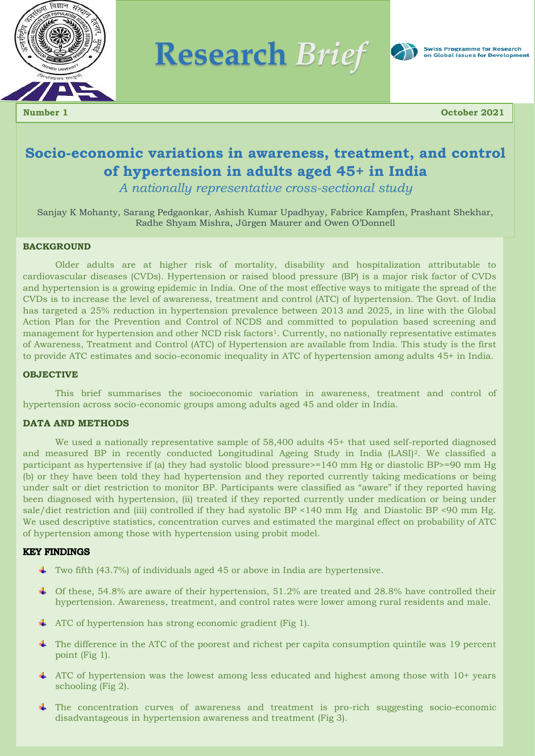

**Research** *Brief*



**Number 1 October 2021**

# **Socio-economic variations in awareness, treatment, and control of hypertension in adults aged 45+ in India**

*A nationally representative cross-sectional study*

Sanjay K Mohanty, Sarang Pedgaonkar, Ashish Kumar Upadhyay, Fabrice Kampfen, Prashant Shekhar, Radhe Shyam Mishra, Jürgen Maurer and Owen O'Donnell

#### **BACKGROUND**

Older adults are at higher risk of mortality, disability and hospitalization attributable to cardiovascular diseases (CVDs). Hypertension or raised blood pressure (BP) is a major risk factor of CVDs and hypertension is a growing epidemic in India. One of the most effective ways to mitigate the spread of the CVDs is to increase the level of awareness, treatment and control (ATC) of hypertension. The Govt. of India has targeted a 25% reduction in hypertension prevalence between 2013 and 2025, in line with the Global Action Plan for the Prevention and Control of NCDS and committed to population based screening and management for hypertension and other NCD risk factors<sup>1</sup>. Currently, no nationally representative estimates of Awareness, Treatment and Control (ATC) of Hypertension are available from India. This study is the first to provide ATC estimates and socio-economic inequality in ATC of hypertension among adults 45+ in India.

#### **OBJECTIVE**

This brief summarises the socioeconomic variation in awareness, treatment and control of hypertension across socio-economic groups among adults aged 45 and older in India.

#### **DATA AND METHODS**

We used a nationally representative sample of 58,400 adults 45+ that used self-reported diagnosed and measured BP in recently conducted Longitudinal Ageing Study in India (LASI)<sup>2</sup>. We classified a participant as hypertensive if (a) they had systolic blood pressure>=140 mm Hg or diastolic BP>=90 mm Hg (b) or they have been told they had hypertension and they reported currently taking medications or being under salt or diet restriction to monitor BP. Participants were classified as "aware" if they reported having been diagnosed with hypertension, (ii) treated if they reported currently under medication or being under sale/diet restriction and (iii) controlled if they had systolic BP <140 mm Hg and Diastolic BP <90 mm Hg. We used descriptive statistics, concentration curves and estimated the marginal effect on probability of ATC of hypertension among those with hypertension using probit model.

#### **KEY FINDINGS**

- $\blacktriangle$  Two fifth (43.7%) of individuals aged 45 or above in India are hypertensive.
- $\pm$  Of these, 54.8% are aware of their hypertension, 51.2% are treated and 28.8% have controlled their hypertension. Awareness, treatment, and control rates were lower among rural residents and male.
- ATC of hypertension has strong economic gradient (Fig 1).
- $\pm$  The difference in the ATC of the poorest and richest per capita consumption quintile was 19 percent point (Fig 1).
- $\overline{+}$  ATC of hypertension was the lowest among less educated and highest among those with 10+ years schooling (Fig 2).
- ÷ The concentration curves of awareness and treatment is pro-rich suggesting socio-economic disadvantageous in hypertension awareness and treatment (Fig 3).